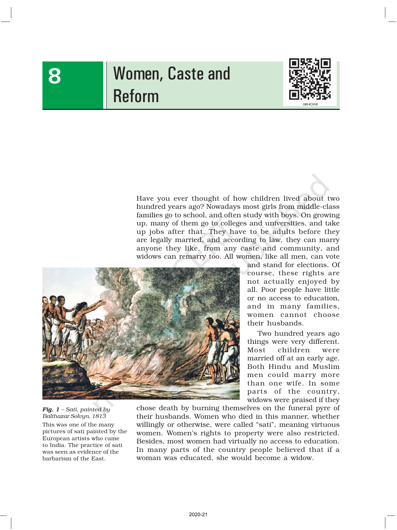# Women, Caste and Reform



Have you ever thought of how children lived about two hundred years ago? Nowadays most girls from middle-class families go to school, and often study with boys. On growing up, many of them go to colleges and universities, and take up jobs after that. They have to be adults before they are legally married, and according to law, they can marry anyone they like, from any caste and community, and widows can remarry too. All women, like all men, can vote



and stand for elections. Of course, these rights are not actually enjoyed by all. Poor people have little or no access to education, and in many families, women cannot choose their husbands.

Two hundred years ago things were very different. Most children were married off at an early age. Both Hindu and Muslim men could marry more than one wife. In some parts of the country, widows were praised if they

*Fig. 1 – Sati, painted by Balthazar Solvyn, 1813* This was one of the many pictures of sati painted by the European artists who came to India. The practice of sati was seen as evidence of the barbarism of the East.

chose death by burning themselves on the funeral pyre of their husbands. Women who died in this manner, whether willingly or otherwise, were called "sati", meaning virtuous women. Women's rights to property were also restricted. Besides, most women had virtually no access to education. In many parts of the country people believed that if a woman was educated, she would become a widow.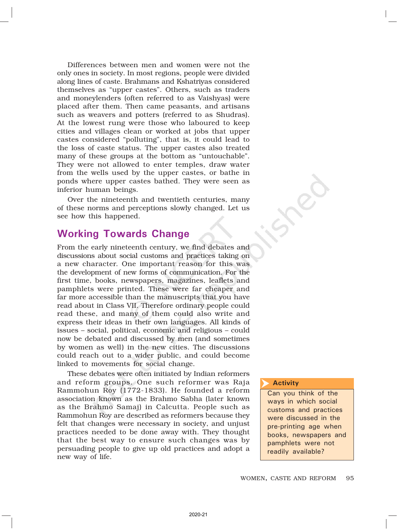Differences between men and women were not the only ones in society. In most regions, people were divided along lines of caste. Brahmans and Kshatriyas considered themselves as "upper castes". Others, such as traders and moneylenders (often referred to as Vaishyas) were placed after them. Then came peasants, and artisans such as weavers and potters (referred to as Shudras). At the lowest rung were those who laboured to keep cities and villages clean or worked at jobs that upper castes considered "polluting", that is, it could lead to the loss of caste status. The upper castes also treated many of these groups at the bottom as "untouchable". They were not allowed to enter temples, draw water from the wells used by the upper castes, or bathe in ponds where upper castes bathed. They were seen as inferior human beings.

Over the nineteenth and twentieth centuries, many of these norms and perceptions slowly changed. Let us see how this happened.

## Working Towards Change

From the early nineteenth century, we find debates and discussions about social customs and practices taking on a new character. One important reason for this was the development of new forms of communication. For the first time, books, newspapers, magazines, leaflets and pamphlets were printed. These were far cheaper and far more accessible than the manuscripts that you have read about in Class VII. Therefore ordinary people could read these, and many of them could also write and express their ideas in their own languages. All kinds of issues – social, political, economic and religious – could now be debated and discussed by men (and sometimes by women as well) in the new cities. The discussions could reach out to a wider public, and could become linked to movements for social change.

These debates were often initiated by Indian reformers and reform groups. One such reformer was Raja Rammohun Roy (1772-1833). He founded a reform association known as the Brahmo Sabha (later known as the Brahmo Samaj) in Calcutta. People such as Rammohun Roy are described as reformers because they felt that changes were necessary in society, and unjust practices needed to be done away with. They thought that the best way to ensure such changes was by persuading people to give up old practices and adopt a new way of life.

#### **Activity**  $\overline{\blacktriangleright}$

Can you think of the ways in which social customs and practices were discussed in the pre-printing age when books, newspapers and pamphlets were not readily available?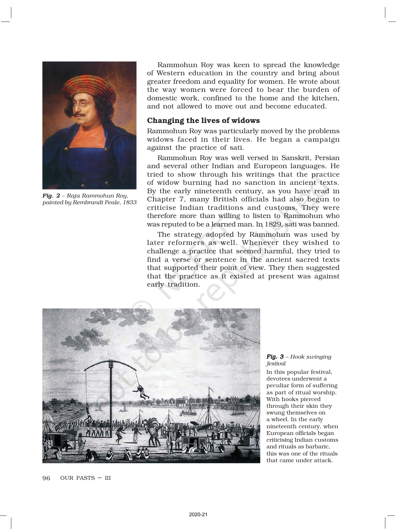

*Fig. 2 – Raja Rammohun Roy, painted by Rembrandt Peale, 1833*

Rammohun Roy was keen to spread the knowledge of Western education in the country and bring about greater freedom and equality for women. He wrote about the way women were forced to bear the burden of domestic work, confined to the home and the kitchen, and not allowed to move out and become educated.

### Changing the lives of widows

Rammohun Roy was particularly moved by the problems widows faced in their lives. He began a campaign against the practice of sati.

Rammohun Roy was well versed in Sanskrit, Persian and several other Indian and Europeon languages. He tried to show through his writings that the practice of widow burning had no sanction in ancient texts. By the early nineteenth century, as you have read in Chapter 7, many British officials had also begun to criticise Indian traditions and customs. They were therefore more than willing to listen to Rammohun who was reputed to be a learned man. In 1829, sati was banned.

The strategy adopted by Rammohun was used by later reformers as well. Whenever they wished to challenge a practice that seemed harmful, they tried to find a verse or sentence in the ancient sacred texts that supported their point of view. They then suggested that the practice as it existed at present was against early tradition.



*Fig. 3 – Hook swinging festival*

In this popular festival, devotees underwent a peculiar form of suffering as part of ritual worship. With hooks pierced through their skin they swung themselves on a wheel. In the early nineteenth century, when European officials began criticising Indian customs and rituals as barbaric, this was one of the rituals that came under attack.

96 OUR PASTS – III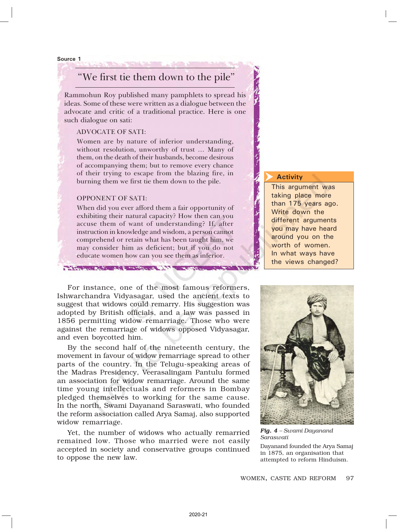#### Source 1

## "We first tie them down to the pile"

Rammohun Roy published many pamphlets to spread his ideas. Some of these were written as a dialogue between the advocate and critic of a traditional practice. Here is one such dialogue on sati:

### ADVOCATE OF SATI:

Women are by nature of inferior understanding, without resolution, unworthy of trust … Many of them, on the death of their husbands, become desirous of accompanying them; but to remove every chance of their trying to escape from the blazing fire, in burning them we first tie them down to the pile.

### OPPONENT OF SATI:

TAX CONSTRUCTION AND CONSTRUCTION TO A

When did you ever afford them a fair opportunity of exhibiting their natural capacity? How then can you accuse them of want of understanding? If, after instruction in knowledge and wisdom, a person cannot comprehend or retain what has been taught him, we may consider him as deficient; but if you do not educate women how can you see them as inferior.

#### Activity  $\overline{\blacktriangleright}$

This argument was taking place more than 175 years ago. Write down the different arguments you may have heard around you on the worth of women. In what ways have the views changed?

For instance, one of the most famous reformers, Ishwarchandra Vidyasagar, used the ancient texts to suggest that widows could remarry. His suggestion was adopted by British officials, and a law was passed in 1856 permitting widow remarriage. Those who were against the remarriage of widows opposed Vidyasagar, and even boycotted him.

By the second half of the nineteenth century, the movement in favour of widow remarriage spread to other parts of the country. In the Telugu-speaking areas of the Madras Presidency, Veerasalingam Pantulu formed an association for widow remarriage. Around the same time young intellectuals and reformers in Bombay pledged themselves to working for the same cause. In the north, Swami Dayanand Saraswati, who founded the reform association called Arya Samaj, also supported widow remarriage.

Yet, the number of widows who actually remarried remained low. Those who married were not easily accepted in society and conservative groups continued to oppose the new law.



*Saraswati* Dayanand founded the Arya Samaj in 1875, an organisation that attempted to reform Hinduism.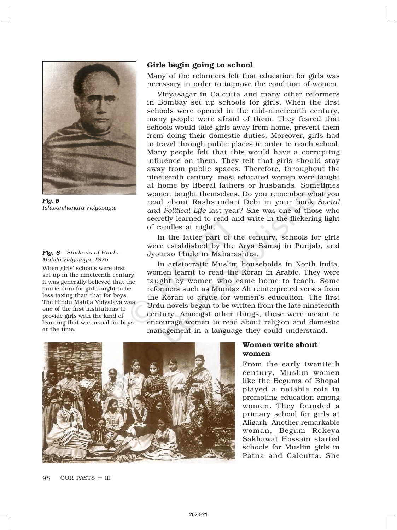

*Fig. 5 Ishwarchandra Vidyasagar*

#### *Fig. 6 – Students of Hindu Mahila Vidyalaya, 1875*

When girls' schools were first set up in the nineteenth century, it was generally believed that the curriculum for girls ought to be less taxing than that for boys. The Hindu Mahila Vidyalaya was one of the first institutions to provide girls with the kind of learning that was usual for boys at the time.

## Girls begin going to school

Many of the reformers felt that education for girls was necessary in order to improve the condition of women.

Vidyasagar in Calcutta and many other reformers in Bombay set up schools for girls. When the first schools were opened in the mid-nineteenth century, many people were afraid of them. They feared that schools would take girls away from home, prevent them from doing their domestic duties. Moreover, girls had to travel through public places in order to reach school. Many people felt that this would have a corrupting influence on them. They felt that girls should stay away from public spaces. Therefore, throughout the nineteenth century, most educated women were taught at home by liberal fathers or husbands. Sometimes women taught themselves. Do you remember what you read about Rashsundari Debi in your book *Social and Political Life* last year? She was one of those who secretly learned to read and write in the flickering light of candles at night.

In the latter part of the century, schools for girls were established by the Arya Samaj in Punjab, and Jyotirao Phule in Maharashtra.

In aristocratic Muslim households in North India, women learnt to read the Koran in Arabic. They were taught by women who came home to teach. Some reformers such as Mumtaz Ali reinterpreted verses from the Koran to argue for women's education. The first Urdu novels began to be written from the late nineteenth century. Amongst other things, these were meant to encourage women to read about religion and domestic management in a language they could understand.



### Women write about women

From the early twentieth century, Muslim women like the Begums of Bhopal played a notable role in promoting education among women. They founded a primary school for girls at Aligarh. Another remarkable woman, Begum Rokeya Sakhawat Hossain started schools for Muslim girls in Patna and Calcutta. She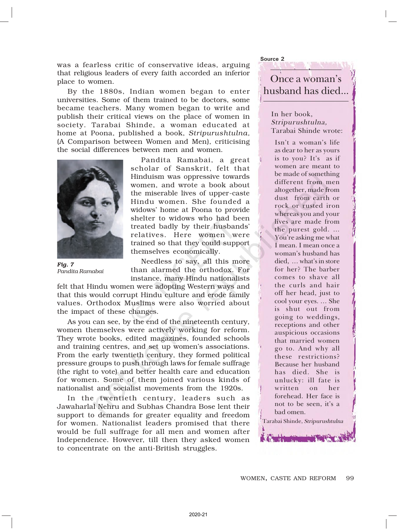was a fearless critic of conservative ideas, arguing that religious leaders of every faith accorded an inferior place to women.

By the 1880s, Indian women began to enter universities. Some of them trained to be doctors, some became teachers. Many women began to write and publish their critical views on the place of women in society. Tarabai Shinde, a woman educated at home at Poona, published a book, *Stripurushtulna,* (A Comparison between Women and Men), criticising the social differences between men and women.



*Fig. 7 Pandita Ramabai*

Pandita Ramabai, a great scholar of Sanskrit, felt that Hinduism was oppressive towards women, and wrote a book about the miserable lives of upper-caste Hindu women. She founded a widows' home at Poona to provide shelter to widows who had been treated badly by their husbands' relatives. Here women were trained so that they could support themselves economically.

Needless to say, all this more than alarmed the orthodox. For instance, many Hindu nationalists

felt that Hindu women were adopting Western ways and that this would corrupt Hindu culture and erode family values. Orthodox Muslims were also worried about the impact of these changes.

As you can see, by the end of the nineteenth century, women themselves were actively working for reform. They wrote books, edited magazines, founded schools and training centres, and set up women's associations. From the early twentieth century, they formed political pressure groups to push through laws for female suffrage (the right to vote) and better health care and education for women. Some of them joined various kinds of nationalist and socialist movements from the 1920s.

In the twentieth century, leaders such as Jawaharlal Nehru and Subhas Chandra Bose lent their support to demands for greater equality and freedom for women. Nationalist leaders promised that there would be full suffrage for all men and women after Independence. However, till then they asked women to concentrate on the anti-British struggles.

Once a woman's husband has died...

Source 2

In her book, Stripurushtulna, Tarabai Shinde wrote:

Isn't a woman's life as dear to her as yours is to you? It's as if women are meant to be made of something different from men altogether, made from dust from earth or rock or rusted iron whereas you and your lives are made from the purest gold. … You're asking me what I mean. I mean once a woman's husband has died, … what's in store for her? The barber comes to shave all the curls and hair off her head, just to cool your eyes. … She is shut out from going to weddings, receptions and other auspicious occasions that married women go to. And why all these restrictions? Because her husband has died. She is unlucky: ill fate is written on her forehead. Her face is not to be seen, it's a bad omen.

Tarabai Shinde, Stripurushtulna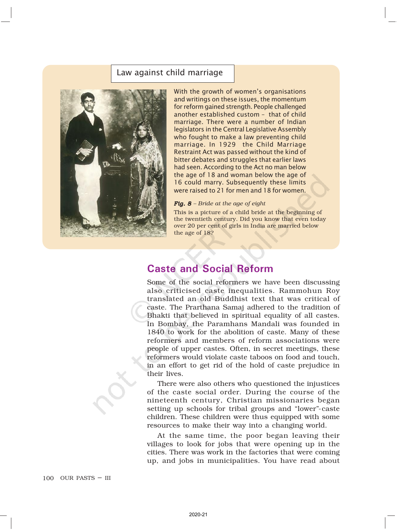### Law against child marriage



With the growth of women's organisations and writings on these issues, the momentum for reform gained strength. People challenged another established custom – that of child marriage. There were a number of Indian legislators in the Central Legislative Assembly who fought to make a law preventing child marriage. In 1929 the Child Marriage Restraint Act was passed without the kind of bitter debates and struggles that earlier laws had seen. According to the Act no man below the age of 18 and woman below the age of 16 could marry. Subsequently these limits were raised to 21 for men and 18 for women.

*Fig. 8 – Bride at the age of eight*

This is a picture of a child bride at the beginning of the twentieth century. Did you know that even today over 20 per cent of girls in India are married below the age of 18?

## Caste and Social Reform

Some of the social reformers we have been discussing also criticised caste inequalities. Rammohun Roy translated an old Buddhist text that was critical of caste. The Prarthana Samaj adhered to the tradition of Bhakti that believed in spiritual equality of all castes. In Bombay, the Paramhans Mandali was founded in 1840 to work for the abolition of caste. Many of these reformers and members of reform associations were people of upper castes. Often, in secret meetings, these reformers would violate caste taboos on food and touch, in an effort to get rid of the hold of caste prejudice in their lives.

There were also others who questioned the injustices of the caste social order. During the course of the nineteenth century, Christian missionaries began setting up schools for tribal groups and "lower"-caste children. These children were thus equipped with some resources to make their way into a changing world.

At the same time, the poor began leaving their villages to look for jobs that were opening up in the cities. There was work in the factories that were coming up, and jobs in municipalities. You have read about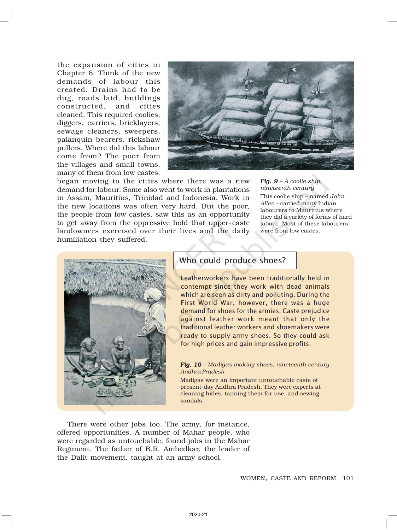the expansion of cities in Chapter 6. Think of the new demands of labour this created. Drains had to be dug, roads laid, buildings constructed, and cities cleaned. This required coolies, diggers, carriers, bricklayers, sewage cleaners, sweepers, palanquin bearers, rickshaw pullers. Where did this labour come from? The poor from the villages and small towns, many of them from low castes,



began moving to the cities where there was a new demand for labour. Some also went to work in plantations in Assam, Mauritius, Trinidad and Indonesia. Work in the new locations was often very hard. But the poor, the people from low castes, saw this as an opportunity to get away from the oppressive hold that upper-caste landowners exercised over their lives and the daily humiliation they suffered.

*Fig. 9 – A coolie ship, nineteenth century* This coolie ship – named *John Allen* – carried many Indian labourers to Mauritius where they did a variety of forms of hard labour. Most of these labourers were from low castes.



## Who could produce shoes?

Leatherworkers have been traditionally held in contempt since they work with dead animals which are seen as dirty and polluting. During the First World War, however, there was a huge demand for shoes for the armies. Caste prejudice against leather work meant that only the traditional leather workers and shoemakers were ready to supply army shoes. So they could ask for high prices and gain impressive profits.

### Fig. 10 - Madigas making shoes, nineteenth-century *Andhra Pradesh*

Madigas were an important untouchable caste of present-day Andhra Pradesh. They were experts at cleaning hides, tanning them for use, and sewing sandals.

There were other jobs too. The army, for instance, offered opportunities. A number of Mahar people, who were regarded as untouchable, found jobs in the Mahar Regiment. The father of B.R. Ambedkar, the leader of the Dalit movement, taught at an army school.

WOMEN, CASTE AND REFORM 101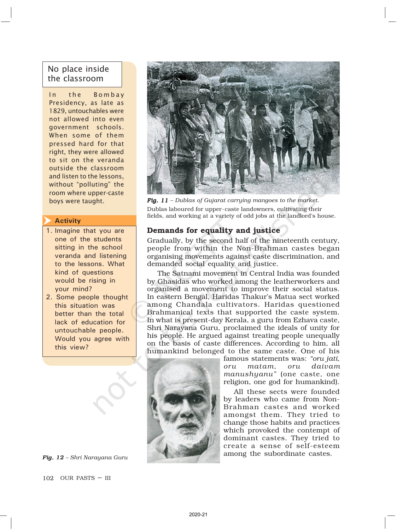## No place inside the classroom

In the Bombay Presidency, as late as 1829, untouchables were not allowed into even government schools. When some of them pressed hard for that right, they were allowed to sit on the veranda outside the classroom and listen to the lessons, without "polluting" the room where upper-caste

#### Activity  $\overline{\blacktriangleright}$

- 1. Imagine that you are one of the students sitting in the school veranda and listening to the lessons. What kind of questions would be rising in your mind?
- 2. Some people thought this situation was better than the total lack of education for untouchable people. Would you agree with this view?





102 OUR PASTS – III



boys were taught. *Fig. 11 - Dublas of Gujarat carrying mangoes to the market.* Dublas laboured for upper-caste landowners, cultivating their fields, and working at a variety of odd jobs at the landlord's house.

## Demands for equality and justice

Gradually, by the second half of the nineteenth century, people from within the Non-Brahman castes began organising movements against caste discrimination, and demanded social equality and justice.

The Satnami movement in Central India was founded by Ghasidas who worked among the leatherworkers and organised a movement to improve their social status. In eastern Bengal, Haridas Thakur's Matua sect worked among Chandala cultivators. Haridas questioned Brahmanical texts that supported the caste system. In what is present-day Kerala, a guru from Ezhava caste, Shri Narayana Guru, proclaimed the ideals of unity for his people. He argued against treating people unequally on the basis of caste differences. According to him, all humankind belonged to the same caste. One of his



famous statements was: *"oru jati, oru matam, oru daivam manushyanu"* (one caste, one religion, one god for humankind).

All these sects were founded by leaders who came from Non-Brahman castes and worked amongst them. They tried to change those habits and practices which provoked the contempt of dominant castes. They tried to create a sense of self-esteem **Fig. 12** - Shri Narayana Guru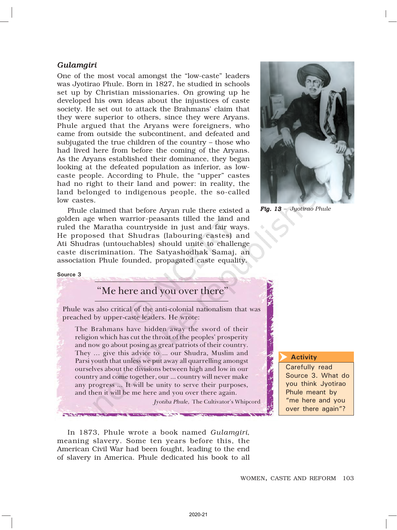## *Gulamgiri*

One of the most vocal amongst the "low-caste" leaders was Jyotirao Phule. Born in 1827, he studied in schools set up by Christian missionaries. On growing up he developed his own ideas about the injustices of caste society. He set out to attack the Brahmans' claim that they were superior to others, since they were Aryans. Phule argued that the Aryans were foreigners, who came from outside the subcontinent, and defeated and subjugated the true children of the country – those who had lived here from before the coming of the Aryans. As the Aryans established their dominance, they began looking at the defeated population as inferior, as lowcaste people. According to Phule, the "upper" castes had no right to their land and power: in reality, the land belonged to indigenous people, the so-called low castes.

Phule claimed that before Aryan rule there existed a golden age when warrior-peasants tilled the land and ruled the Maratha countryside in just and fair ways. He proposed that Shudras (labouring castes) and Ati Shudras (untouchables) should unite to challenge caste discrimination. The Satyashodhak Samaj, an association Phule founded, propagated caste equality.



*Fig. 13 – Jyotirao Phule*

### Source 3

## "Me here and you over there"

Phule was also critical of the anti-colonial nationalism that was preached by upper-caste leaders. He wrote:

The Brahmans have hidden away the sword of their religion which has cut the throat of the peoples' prosperity and now go about posing as great patriots of their country. They … give this advice to ... our Shudra, Muslim and Parsi youth that unless we put away all quarrelling amongst ourselves about the divisions between high and low in our country and come together, our ... country will never make any progress ... It will be unity to serve their purposes, and then it will be me here and you over there again.

Jyotiba Phule, The Cultivator's Whipcord

In 1873, Phule wrote a book named *Gulamgiri*, meaning slavery. Some ten years before this, the American Civil War had been fought, leading to the end of slavery in America. Phule dedicated his book to all

### **Activity**

 $\overline{\blacktriangleright}$ 

Carefully read Source 3. What do you think Jyotirao Phule meant by "me here and you over there again"?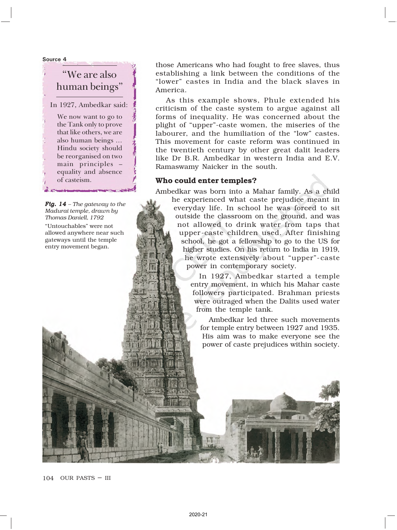Source 4

## "We are also human beings"

In 1927, Ambedkar said:

We now want to go to the Tank only to prove that like others, we are also human beings … Hindu society should be reorganised on two main principles – equality and absence of casteism.

Fig. 14 – The gateway to the *Madurai temple, drawn by Thomas Daniell, 1792*

"Untouchables" were not allowed anywhere near such gateways until the temple entry movement began.

those Americans who had fought to free slaves, thus establishing a link between the conditions of the "lower" castes in India and the black slaves in America.

As this example shows, Phule extended his criticism of the caste system to argue against all forms of inequality. He was concerned about the plight of "upper"-caste women, the miseries of the labourer, and the humiliation of the "low" castes. This movement for caste reform was continued in the twentieth century by other great dalit leaders like Dr B.R. Ambedkar in western India and E.V. Ramaswamy Naicker in the south.

### Who could enter temples?

Ambedkar was born into a Mahar family. As a child he experienced what caste prejudice meant in everyday life. In school he was forced to sit outside the classroom on the ground, and was not allowed to drink water from taps that upper -caste children used. After finishing school, he got a fellowship to go to the US for higher studies. On his return to India in 1919, he wrote extensively about "upper"-caste power in contemporary society.

> In 1927, Ambedkar started a temple entry movement, in which his Mahar caste followers participated. Brahman priests were outraged when the Dalits used water from the temple tank.

Ambedkar led three such movements for temple entry between 1927 and 1935. His aim was to make everyone see the power of caste prejudices within society.

104 OUR PASTS – III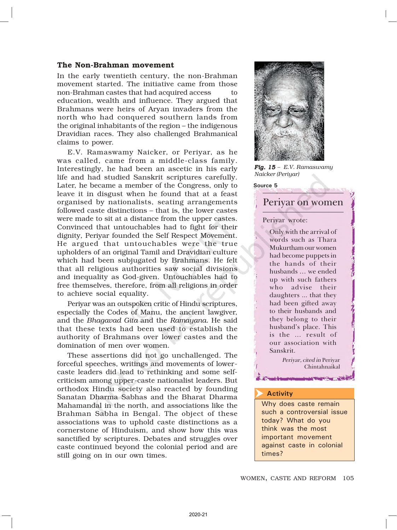### The Non-Brahman movement

In the early twentieth century, the non-Brahman movement started. The initiative came from those non-Brahman castes that had acquired access to education, wealth and influence. They argued that Brahmans were heirs of Aryan invaders from the north who had conquered southern lands from the original inhabitants of the region – the indigenous Dravidian races. They also challenged Brahmanical claims to power.

E.V. Ramaswamy Naicker, or Periyar, as he was called, came from a middle-class family. Interestingly, he had been an ascetic in his early life and had studied Sanskrit scriptures carefully. Later, he became a member of the Congress, only to leave it in disgust when he found that at a feast organised by nationalists, seating arrangements followed caste distinctions – that is, the lower castes were made to sit at a distance from the upper castes. Convinced that untouchables had to fight for their dignity, Periyar founded the Self Respect Movement. He argued that untouchables were the true upholders of an original Tamil and Dravidian culture which had been subjugated by Brahmans. He felt that all religious authorities saw social divisions and inequality as God-given. Untouchables had to free themselves, therefore, from all religions in order to achieve social equality.

Periyar was an outspoken critic of Hindu scriptures, especially the Codes of Manu, the ancient lawgiver, and the *Bhagavad Gita* and the *Ramayana.* He said that these texts had been used to establish the authority of Brahmans over lower castes and the domination of men over women.

These assertions did not go unchallenged. The forceful speeches, writings and movements of lowercaste leaders did lead to rethinking and some selfcriticism among upper-caste nationalist leaders. But orthodox Hindu society also reacted by founding Sanatan Dharma Sabhas and the Bharat Dharma Mahamandal in the north, and associations like the Brahman Sabha in Bengal. The object of these associations was to uphold caste distinctions as a cornerstone of Hinduism, and show how this was sanctified by scriptures. Debates and struggles over caste continued beyond the colonial period and are still going on in our own times.



*Fig. 15 – E.V. Ramaswamy Naicker (Periyar)*

### Source 5

## Periyar on women

#### Periyar wrote:

Only with the arrival of words such as Thara Mukurtham our women had become puppets in the hands of their husbands … we ended up with such fathers who advise their daughters ... that they had been gifted away to their husbands and they belong to their husband's place. This is the … result of our association with Sanskrit.

> Periyar, cited in Periyar Chintahnaikal

> > **CAUC COMMANDER**

#### **Activity**  $\overline{\blacktriangleright}$

Why does caste remain such a controversial issue today? What do you think was the most important movement against caste in colonial times?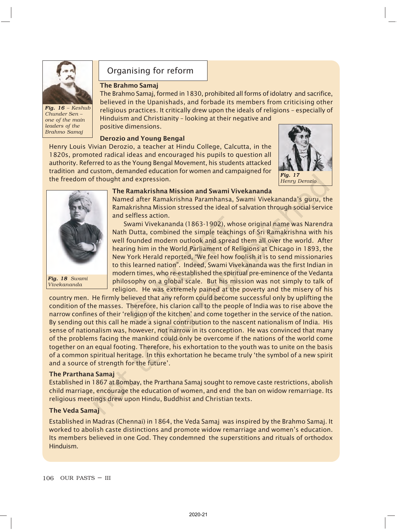

*Fig. 16 - Keshub Chunder Sen – one of the main leaders of the Brahmo Samaj*

## Organising for reform

### The Brahmo Samaj

The Brahmo Samaj, formed in 1830, prohibited all forms of idolatry and sacrifice, believed in the Upanishads, and forbade its members from criticising other religious practices. It critically drew upon the ideals of religions – especially of Hinduism and Christianity – looking at their negative and positive dimensions.

### Derozio and Young Bengal

Henry Louis Vivian Derozio, a teacher at Hindu College, Calcutta, in the 1820s, promoted radical ideas and encouraged his pupils to question all authority. Referred to as the Young Bengal Movement, his students attacked tradition and custom, demanded education for women and campaigned for the freedom of thought and expression.





*Fig. 18 Fig. 18 Swami Vivekananda*

### The Ramakrishna Mission and Swami Vivekananda

Named after Ramakrishna Paramhansa, Swami Vivekananda's guru, the Ramakrishna Mission stressed the ideal of salvation through social service and selfless action.

Swami Vivekananda (1863-1902), whose original name was Narendra Nath Dutta, combined the simple teachings of Sri Ramakrishna with his well founded modern outlook and spread them all over the world. After hearing him in the World Parliament of Religions at Chicago in 1893, the New York Herald reported, "We feel how foolish it is to send missionaries to this learned nation". Indeed, Swami Vivekananda was the first Indian in modern times, who re-established the spiritual pre-eminence of the Vedanta philosophy on a global scale. But his mission was not simply to talk of religion. He was extremely pained at the poverty and the misery of his

country men. He firmly believed that any reform could become successful only by uplifting the condition of the masses. Therefore, his clarion call to the people of India was to rise above the narrow confines of their 'religion of the kitchen' and come together in the service of the nation. By sending out this call he made a signal contribution to the nascent nationalism of India. His sense of nationalism was, however, not narrow in its conception. He was convinced that many of the problems facing the mankind could only be overcome if the nations of the world come together on an equal footing. Therefore, his exhortation to the youth was to unite on the basis of a common spiritual heritage. In this exhortation he became truly 'the symbol of a new spirit and a source of strength for the future'.

### The Prarthana Samaj

Established in 1867 at Bombay, the Prarthana Samaj sought to remove caste restrictions, abolish child marriage, encourage the education of women, and end the ban on widow remarriage. Its religious meetings drew upon Hindu, Buddhist and Christian texts.

### The Veda Samaj

Established in Madras (Chennai) in 1864, the Veda Samaj was inspired by the Brahmo Samaj. It worked to abolish caste distinctions and promote widow remarriage and women's education. Its members believed in one God. They condemned the superstitions and rituals of orthodox Hinduism.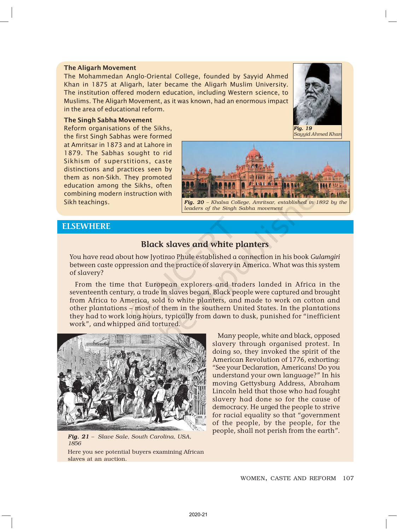### The Aligarh Movement

The Mohammedan Anglo-Oriental College, founded by Sayyid Ahmed Khan in 1875 at Aligarh, later became the Aligarh Muslim University. The institution offered modern education, including Western science, to Muslims. The Aligarh Movement, as it was known, had an enormous impact in the area of educational reform.

### The Singh Sabha Movement

Reform organisations of the Sikhs, the first Singh Sabhas were formed at Amritsar in 1873 and at Lahore in 1879. The Sabhas sought to rid Sikhism of superstitions, caste distinctions and practices seen by them as non-Sikh. They promoted education among the Sikhs, often combining modern instruction with Sikh teachings.



*Sayyid Ahmed Khan*



Fig. 20 - Khalsa College, Amritsar, established in 1892 by the *leaders of the Singh Sabha movement*

### **ELSEWHERE**

## Black slaves and white planters

You have read about how Jyotirao Phule established a connection in his book Gulamgiri between caste oppression and the practice of slavery in America. What was this system of slavery?

From the time that European explorers and traders landed in Africa in the seventeenth century, a trade in slaves began. Black people were captured and brought from Africa to America, sold to white planters, and made to work on cotton and other plantations – most of them in the southern United States. In the plantations they had to work long hours, typically from dawn to dusk, punished for "inefficient work", and whipped and tortured.



*Fig. 21 - Slave Sale, South Carolina, USA, 1856*

Here you see potential buyers examining African slaves at an auction.

Many people, white and black, opposed slavery through organised protest. In doing so, they invoked the spirit of the American Revolution of 1776, exhorting: "See your Declaration, Americans! Do you understand your own language?" In his moving Gettysburg Address, Abraham Lincoln held that those who had fought slavery had done so for the cause of democracy. He urged the people to strive for racial equality so that "government of the people, by the people, for the people, shall not perish from the earth".